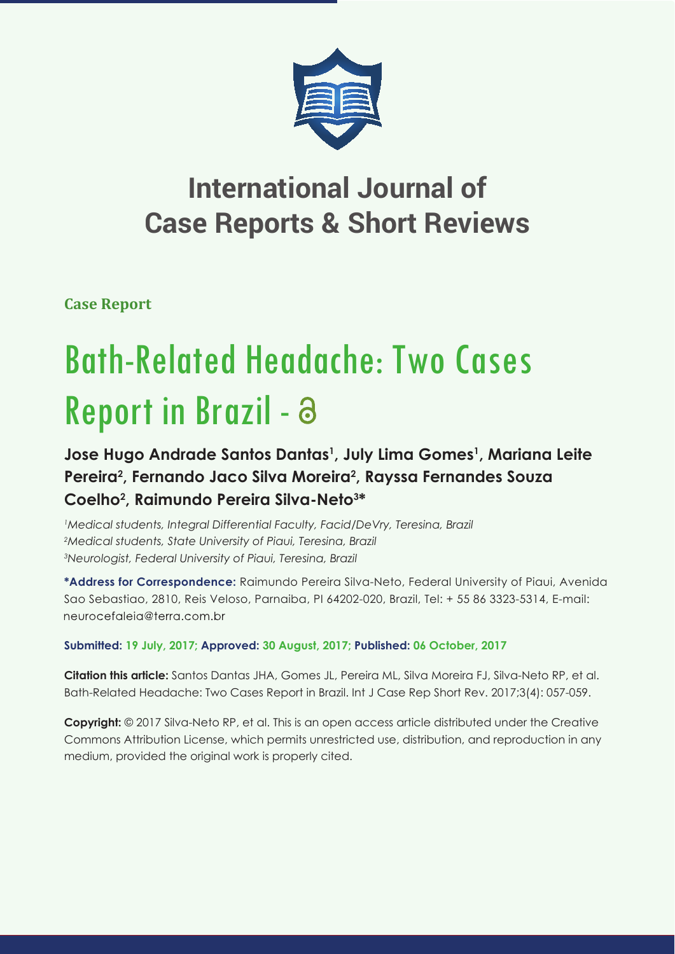

## **International Journal of Case Reports & Short Reviews**

**Case Report**

# Bath-Related Headache: Two Cases Report in Brazil - a

### **Jose Hugo Andrade Santos Dantas1 , July Lima Gomes1 , Mariana Leite**  Pereira<sup>2</sup>, Fernando Jaco Silva Moreira<sup>2</sup>, Rayssa Fernandes Souza **Coelho2 , Raimundo Pereira Silva-Neto3 \***

*1 Medical students, Integral Differential Faculty, Facid/DeVry, Teresina, Brazil 2 Medical students, State University of Piaui, Teresina, Brazil 3 Neurologist, Federal University of Piaui, Teresina, Brazil*

**\*Address for Correspondence:** Raimundo Pereira Silva-Neto, Federal University of Piaui, Avenida Sao Sebastiao, 2810, Reis Veloso, Parnaiba, PI 64202-020, Brazil, Tel: + 55 86 3323-5314, E-mail: neurocefaleig@terra.com.br

#### **Submitted: 19 July, 2017; Approved: 30 August, 2017; Published: 06 October, 2017**

**Citation this article:** Santos Dantas JHA, Gomes JL, Pereira ML, Silva Moreira FJ, Silva-Neto RP, et al. Bath-Related Headache: Two Cases Report in Brazil. Int J Case Rep Short Rev. 2017;3(4): 057-059.

**Copyright:** © 2017 Silva-Neto RP, et al. This is an open access article distributed under the Creative Commons Attribution License, which permits unrestricted use, distribution, and reproduction in any medium, provided the original work is properly cited.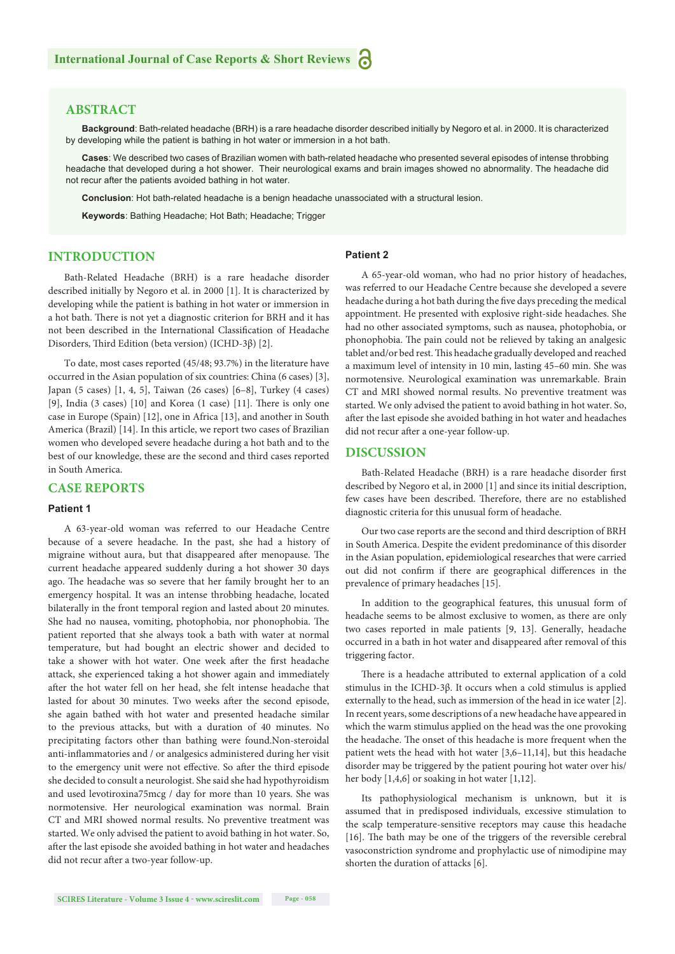#### **ABSTRACT**

**Background**: Bath-related headache (BRH) is a rare headache disorder described initially by Negoro et al. in 2000. It is characterized by developing while the patient is bathing in hot water or immersion in a hot bath.

**Cases**: We described two cases of Brazilian women with bath-related headache who presented several episodes of intense throbbing headache that developed during a hot shower. Their neurological exams and brain images showed no abnormality. The headache did not recur after the patients avoided bathing in hot water.

**Conclusion**: Hot bath-related headache is a benign headache unassociated with a structural lesion.

**Keywords**: Bathing Headache; Hot Bath; Headache; Trigger

#### **INTRODUCTION**

**Patient 2**

Bath-Related Headache (BRH) is a rare headache disorder described initially by Negoro et al. in 2000 [1]. It is characterized by developing while the patient is bathing in hot water or immersion in a hot bath. There is not yet a diagnostic criterion for BRH and it has not been described in the International Classification of Headache Disorders, Third Edition (beta version) (ICHD-3β) [2].

To date, most cases reported (45/48; 93.7%) in the literature have occurred in the Asian population of six countries: China (6 cases) [3], Japan (5 cases) [1, 4, 5], Taiwan (26 cases) [6–8], Turkey (4 cases) [9], India (3 cases)  $[10]$  and Korea (1 case)  $[11]$ . There is only one case in Europe (Spain) [12], one in Africa [13], and another in South America (Brazil) [14]. In this article, we report two cases of Brazilian women who developed severe headache during a hot bath and to the best of our knowledge, these are the second and third cases reported in South America.

#### **CASE REPORTS**

#### **Patient 1**

A 63-year-old woman was referred to our Headache Centre because of a severe headache. In the past, she had a history of migraine without aura, but that disappeared after menopause. The current headache appeared suddenly during a hot shower 30 days ago. The headache was so severe that her family brought her to an emergency hospital. It was an intense throbbing headache, located bilaterally in the front temporal region and lasted about 20 minutes. She had no nausea, vomiting, photophobia, nor phonophobia. The patient reported that she always took a bath with water at normal temperature, but had bought an electric shower and decided to take a shower with hot water. One week after the first headache attack, she experienced taking a hot shower again and immediately after the hot water fell on her head, she felt intense headache that lasted for about 30 minutes. Two weeks after the second episode, she again bathed with hot water and presented headache similar to the previous attacks, but with a duration of 40 minutes. No precipitating factors other than bathing were found.Non-steroidal anti-inflammatories and / or analgesics administered during her visit to the emergency unit were not effective. So after the third episode she decided to consult a neurologist. She said she had hypothyroidism and used levotiroxina75mcg / day for more than 10 years. She was normotensive. Her neurological examination was normal. Brain CT and MRI showed normal results. No preventive treatment was started. We only advised the patient to avoid bathing in hot water. So, after the last episode she avoided bathing in hot water and headaches did not recur after a two-year follow-up.

A 65-year-old woman, who had no prior history of headaches, was referred to our Headache Centre because she developed a severe headache during a hot bath during the five days preceding the medical appointment. He presented with explosive right-side headaches. She had no other associated symptoms, such as nausea, photophobia, or phonophobia. The pain could not be relieved by taking an analgesic tablet and/or bed rest. This headache gradually developed and reached a maximum level of intensity in 10 min, lasting 45–60 min. She was normotensive. Neurological examination was unremarkable. Brain CT and MRI showed normal results. No preventive treatment was started. We only advised the patient to avoid bathing in hot water. So, after the last episode she avoided bathing in hot water and headaches did not recur after a one-year follow-up.

#### **DISCUSSION**

Bath-Related Headache (BRH) is a rare headache disorder first described by Negoro et al, in 2000 [1] and since its initial description, few cases have been described. Therefore, there are no established diagnostic criteria for this unusual form of headache.

Our two case reports are the second and third description of BRH in South America. Despite the evident predominance of this disorder in the Asian population, epidemiological researches that were carried out did not confirm if there are geographical differences in the prevalence of primary headaches [15].

In addition to the geographical features, this unusual form of headache seems to be almost exclusive to women, as there are only two cases reported in male patients [9, 13]. Generally, headache occurred in a bath in hot water and disappeared after removal of this triggering factor.

There is a headache attributed to external application of a cold stimulus in the ICHD-3β. It occurs when a cold stimulus is applied externally to the head, such as immersion of the head in ice water [2]. In recent years, some descriptions of a new headache have appeared in which the warm stimulus applied on the head was the one provoking the headache. The onset of this headache is more frequent when the patient wets the head with hot water [3,6–11,14], but this headache disorder may be triggered by the patient pouring hot water over his/ her body [1,4,6] or soaking in hot water [1,12].

Its pathophysiological mechanism is unknown, but it is assumed that in predisposed individuals, excessive stimulation to the scalp temperature-sensitive receptors may cause this headache [16]. The bath may be one of the triggers of the reversible cerebral vasoconstriction syndrome and prophylactic use of nimodipine may shorten the duration of attacks [6].